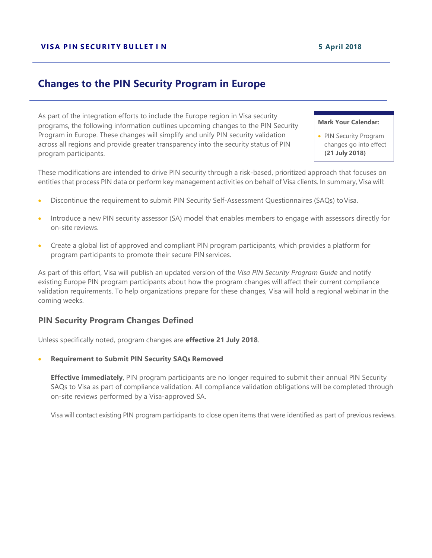# **Changes to the PIN Security Program in Europe**

As part of the integration efforts to include the Europe region in Visa security programs, the following information outlines upcoming changes to the PIN Security Program in Europe. These changes will simplify and unify PIN security validation across all regions and provide greater transparency into the security status of PIN program participants.

#### **Mark Your Calendar:**

• PIN Security Program changes go into effect **(21 July 2018)**

These modifications are intended to drive PIN security through a risk-based, prioritized approach that focuses on entities that process PIN data or perform key management activities on behalf of Visa clients. In summary, Visa will:

- Discontinue the requirement to submit PIN Security Self-Assessment Questionnaires (SAQs) toVisa.
- Introduce a new PIN security assessor (SA) model that enables members to engage with assessors directly for on-site reviews.
- Create a global list of approved and compliant PIN program participants, which provides a platform for program participants to promote their secure PIN services.

As part of this effort, Visa will publish an updated version of the *Visa PIN Security Program Guide* and notify existing Europe PIN program participants about how the program changes will affect their current compliance validation requirements. To help organizations prepare for these changes, Visa will hold a regional webinar in the coming weeks.

# **PIN Security Program Changes Defined**

Unless specifically noted, program changes are **effective 21 July 2018**.

• **Requirement to Submit PIN Security SAQs Removed**

**Effective immediately**, PIN program participants are no longer required to submit their annual PIN Security SAQs to Visa as part of compliance validation. All compliance validation obligations will be completed through on-site reviews performed by a Visa-approved SA.

Visa will contact existing PIN program participants to close open items that were identified as part of previous reviews.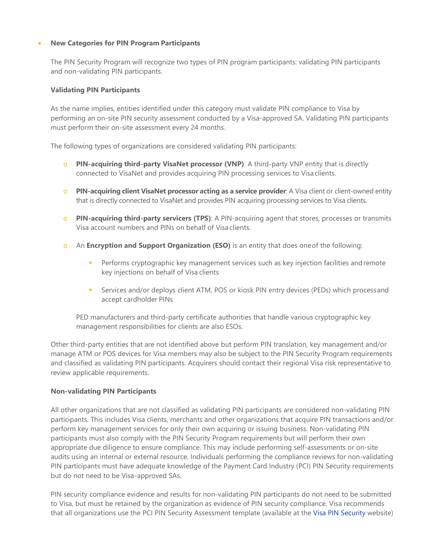## • **New Categories for PIN Program Participants**

The PIN Security Program will recognize two types of PIN program participants: validating PIN participants and non-validating PIN participants.

## **Validating PIN Participants**

As the name implies, entities identified under this category must validate PIN compliance to Visa by performing an on-site PIN security assessment conducted by a Visa-approved SA. Validating PIN participants must perform their on-site assessment every 24 months.

The following types of organizations are considered validating PIN participants:

- o **PIN-acquiring third-party VisaNet processor (VNP)**: A third-party VNP entity that is directly connected to VisaNet and provides acquiring PIN processing services to Visa clients.
- o **PIN-acquiring client VisaNet processor acting as a service provider**: A Visa client or client-owned entity that is directly connected to VisaNet and provides PIN acquiring processing services to Visa clients.
- o **PIN-acquiring third-party servicers (TPS)**: A PIN-acquiring agent that stores, processes or transmits Visa account numbers and PINs on behalf of Visa clients.
- o An **Encryption and Support Organization (ESO)** is an entity that does oneof the following:
	- **Performs cryptographic key management services such as key injection facilities and remote** key injections on behalf of Visa clients
	- Services and/or deploys client ATM, POS or kiosk PIN entry devices (PEDs) which processand accept cardholder PINs

PED manufacturers and third-party certificate authorities that handle various cryptographic key management responsibilities for clients are also ESOs.

Other third-party entities that are not identified above but perform PIN translation, key management and/or manage ATM or POS devices for Visa members may also be subject to the PIN Security Program requirements and classified as validating PIN participants. Acquirers should contact their regional Visa risk representative to review applicable requirements.

## **Non-validating PIN Participants**

All other organizations that are not classified as validating PIN participants are considered non-validating PIN participants. This includes Visa clients, merchants and other organizations that acquire PIN transactions and/or perform key management services for only their own acquiring or issuing business. Non-validating PIN participants must also comply with the PIN Security Program requirements but will perform their own appropriate due diligence to ensure compliance. This may include performing self-assessments or on-site audits using an internal or external resource. Individuals performing the compliance reviews for non-validating PIN participants must have adequate knowledge of the Payment Card Industry (PCI) PIN Security requirements but do not need to be Visa-approved SAs.

PIN security compliance evidence and results for non-validating PIN participants do not need to be submitted to Visa, but must be retained by the organization as evidence of PIN security compliance. Visa recommends that all organizations use the PCI PIN Security Assessment template (available at the [Visa PIN Security](http://www.visa.com/pinsecurity) website)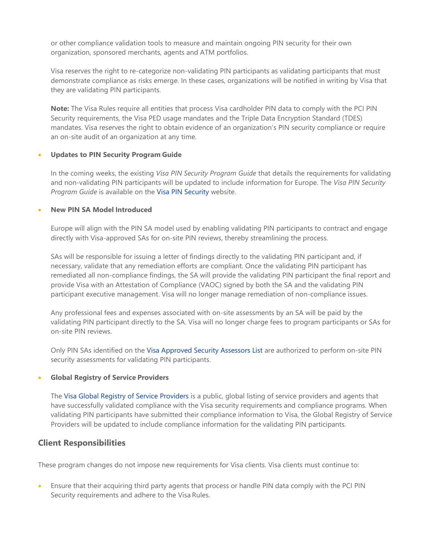or other compliance validation tools to measure and maintain ongoing PIN security for their own organization, sponsored merchants, agents and ATM portfolios.

Visa reserves the right to re-categorize non-validating PIN participants as validating participants that must demonstrate compliance as risks emerge. In these cases, organizations will be notified in writing by Visa that they are validating PIN participants.

**Note:** The Visa Rules require all entities that process Visa cardholder PIN data to comply with the PCI PIN Security requirements, the Visa PED usage mandates and the Triple Data Encryption Standard (TDES) mandates. Visa reserves the right to obtain evidence of an organization's PIN security compliance or require an on-site audit of an organization at any time.

### • **Updates to PIN Security Program Guide**

In the coming weeks, the existing *Visa PIN Security Program Guide* that details the requirements for validating and non-validating PIN participants will be updated to include information for Europe. The *Visa PIN Security Program Guide* is available on the [Visa PIN Security](http://www.visa.com/pinsecurity) website.

### • **New PIN SA Model Introduced**

Europe will align with the PIN SA model used by enabling validating PIN participants to contract and engage directly with Visa-approved SAs for on-site PIN reviews, thereby streamlining the process.

SAs will be responsible for issuing a letter of findings directly to the validating PIN participant and, if necessary, validate that any remediation efforts are compliant. Once the validating PIN participant has remediated all non-compliance findings, the SA will provide the validating PIN participant the final report and provide Visa with an Attestation of Compliance (VAOC) signed by both the SA and the validating PIN participant executive management. Visa will no longer manage remediation of non-compliance issues.

Any professional fees and expenses associated with on-site assessments by an SA will be paid by the validating PIN participant directly to the SA. Visa will no longer charge fees to program participants or SAs for on-site PIN reviews.

Only PIN SAs identified on the [Visa Approved Security Assessors List](https://usa.visa.com/dam/VCOM/download/security/documents/sa-global-list.pdf) are authorized to perform on-site PIN security assessments for validating PIN participants.

#### • **Global Registry of Service Providers**

The [Visa Global Registry of Service Providers](https://www.visa.com/splisting/) is a public, global listing of service providers and agents that have successfully validated compliance with the Visa security requirements and compliance programs. When validating PIN participants have submitted their compliance information to Visa, the Global Registry of Service Providers will be updated to include compliance information for the validating PIN participants.

# **Client Responsibilities**

These program changes do not impose new requirements for Visa clients. Visa clients must continue to:

• Ensure that their acquiring third party agents that process or handle PIN data comply with the PCI PIN Security requirements and adhere to the Visa Rules.